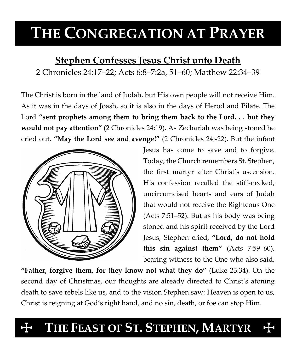# **THE CONGREGATION AT PRAYER**

# **Stephen Confesses Jesus Christ unto Death** 2 Chronicles 24:17–22; Acts 6:8–7:2a, 51–60; Matthew 22:34–39

The Christ is born in the land of Judah, but His own people will not receive Him. As it was in the days of Joash, so it is also in the days of Herod and Pilate. The Lord **"sent prophets among them to bring them back to the Lord. . . but they would not pay attention"** (2 Chronicles 24:19). As Zechariah was being stoned he cried out, **"May the Lord see and avenge!"** (2 Chronicles 24:-22). But the infant



Jesus has come to save and to forgive. Today, the Church remembers St. Stephen, the first martyr after Christ's ascension. His confession recalled the stiff-necked, uncircumcised hearts and ears of Judah that would not receive the Righteous One (Acts 7:51–52). But as his body was being stoned and his spirit received by the Lord Jesus, Stephen cried, **"Lord, do not hold this sin against them"** (Acts 7:59–60), bearing witness to the One who also said,

**"Father, forgive them, for they know not what they do"** (Luke 23:34). On the second day of Christmas, our thoughts are already directed to Christ's atoning death to save rebels like us, and to the vision Stephen saw: Heaven is open to us, Christ is reigning at God's right hand, and no sin, death, or foe can stop Him.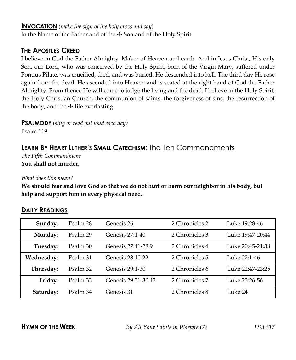#### **INVOCATION** (*make the sign of the holy cross and say*)

In the Name of the Father and of the  $\pm$  Son and of the Holy Spirit.

# **THE APOSTLES CREED**

I believe in God the Father Almighty, Maker of Heaven and earth. And in Jesus Christ, His only Son, our Lord, who was conceived by the Holy Spirit, born of the Virgin Mary, suffered under Pontius Pilate, was crucified, died, and was buried. He descended into hell. The third day He rose again from the dead. He ascended into Heaven and is seated at the right hand of God the Father Almighty. From thence He will come to judge the living and the dead. I believe in the Holy Spirit, the Holy Christian Church, the communion of saints, the forgiveness of sins, the resurrection of the body, and the  $\pm$  life everlasting.

**PSALMODY** *(sing or read out loud each day)*

Psalm 119

# **LEARN BY HEART LUTHER'S SMALL CATECHISM**: The Ten Commandments

*The Fifth Commandment* **You shall not murder.**

*What does this mean?*

**We should fear and love God so that we do not hurt or harm our neighbor in his body, but help and support him in every physical need.**

# **DAILY READINGS**

| Sunday:    | Psalm 28 | Genesis 26          | 2 Chronicles 2 | Luke 19:28-46    |
|------------|----------|---------------------|----------------|------------------|
| Monday:    | Psalm 29 | Genesis 27:1-40     | 2 Chronicles 3 | Luke 19:47-20:44 |
| Tuesday:   | Psalm 30 | Genesis 27:41-28:9  | 2 Chronicles 4 | Luke 20:45-21:38 |
| Wednesday: | Psalm 31 | Genesis 28:10-22    | 2 Chronicles 5 | Luke 22:1-46     |
| Thursday:  | Psalm 32 | Genesis 29:1-30     | 2 Chronicles 6 | Luke 22:47-23:25 |
| Friday:    | Psalm 33 | Genesis 29:31-30:43 | 2 Chronicles 7 | Luke 23:26-56    |
| Saturday:  | Psalm 34 | Genesis 31          | 2 Chronicles 8 | Luke 24          |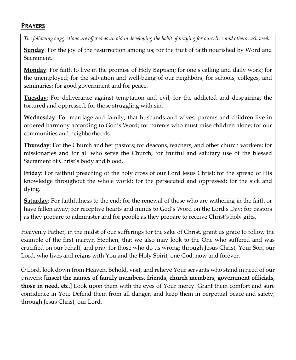### **PRAYERS**

*The following suggestions are offered as an aid in developing the habit of praying for ourselves and others each week:*

**Sunday**: For the joy of the resurrection among us; for the fruit of faith nourished by Word and Sacrament.

**Monday**: For faith to live in the promise of Holy Baptism; for one's calling and daily work; for the unemployed; for the salvation and well-being of our neighbors; for schools, colleges, and seminaries; for good government and for peace.

**Tuesday**: For deliverance against temptation and evil; for the addicted and despairing, the tortured and oppressed; for those struggling with sin.

**Wednesday**: For marriage and family, that husbands and wives, parents and children live in ordered harmony according to God's Word; for parents who must raise children alone; for our communities and neighborhoods.

**Thursday**: For the Church and her pastors; for deacons, teachers, and other church workers; for missionaries and for all who serve the Church; for fruitful and salutary use of the blessed Sacrament of Christ's body and blood.

**Friday**: For faithful preaching of the holy cross of our Lord Jesus Christ; for the spread of His knowledge throughout the whole world; for the persecuted and oppressed; for the sick and dying.

**Saturday**: For faithfulness to the end; for the renewal of those who are withering in the faith or have fallen away; for receptive hearts and minds to God's Word on the Lord's Day; for pastors as they prepare to administer and for people as they prepare to receive Christ's holy gifts.

Heavenly Father, in the midst of our sufferings for the sake of Christ, grant us grace to follow the example of the first martyr, Stephen, that we also may look to the One who suffered and was crucified on our behalf, and pray for those who do us wrong; through Jesus Christ, Your Son, our Lord, who lives and reigns with You and the Holy Spirit, one God, now and forever.

O Lord, look down from Heaven. Behold, visit, and relieve Your servants who stand in need of our prayers: **[insert the names of family members, friends, church members, government officials, those in need, etc.]** Look upon them with the eyes of Your mercy. Grant them comfort and sure confidence in You. Defend them from all danger, and keep them in perpetual peace and safety, through Jesus Christ, our Lord.